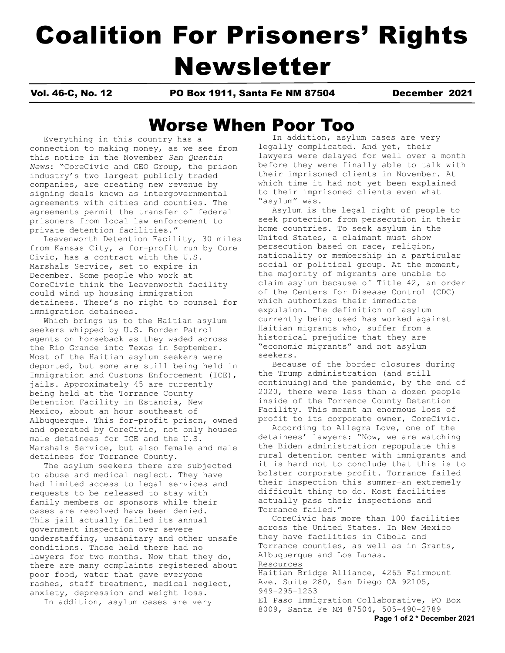# Coalition For Prisoners' Rights Newsletter

Vol. 46-C, No. 12 PO Box 1911, Santa Fe NM 87504 December 2021

# Worse When Poor Too

Everything in this country has a connection to making money, as we see from this notice in the November *San Quentin News*: "CoreCivic and GEO Group, the prison industry's two largest publicly traded companies, are creating new revenue by signing deals known as intergovernmental agreements with cities and counties. The agreements permit the transfer of federal prisoners from local law enforcement to private detention facilities."

 Leavenworth Detention Facility, 30 miles from Kansas City, a for-profit run by Core Civic, has a contract with the U.S. Marshals Service, set to expire in December. Some people who work at CoreCivic think the Leavenworth facility could wind up housing immigration detainees. There's no right to counsel for immigration detainees.

 Which brings us to the Haitian asylum seekers whipped by U.S. Border Patrol agents on horseback as they waded across the Rio Grande into Texas in September. Most of the Haitian asylum seekers were deported, but some are still being held in Immigration and Customs Enforcement (ICE), jails. Approximately 45 are currently being held at the Torrance County Detention Facility in Estancia, New Mexico, about an hour southeast of Albuquerque. This for-profit prison, owned and operated by CoreCivic, not only houses male detainees for ICE and the U.S. Marshals Service, but also female and male detainees for Torrance County.

 The asylum seekers there are subjected to abuse and medical neglect. They have had limited access to legal services and requests to be released to stay with family members or sponsors while their cases are resolved have been denied. This jail actually failed its annual government inspection over severe understaffing, unsanitary and other unsafe conditions. Those held there had no lawyers for two months. Now that they do, there are many complaints registered about poor food, water that gave everyone rashes, staff treatment, medical neglect, anxiety, depression and weight loss.

In addition, asylum cases are very

 In addition, asylum cases are very legally complicated. And yet, their lawyers were delayed for well over a month before they were finally able to talk with their imprisoned clients in November. At which time it had not yet been explained to their imprisoned clients even what "asylum" was.

 Asylum is the legal right of people to seek protection from persecution in their home countries. To seek asylum in the United States, a claimant must show persecution based on race, religion, nationality or membership in a particular social or political group. At the moment, the majority of migrants are unable to claim asylum because of Title 42, an order of the Centers for Disease Control (CDC) which authorizes their immediate expulsion. The definition of asylum currently being used has worked against Haitian migrants who, suffer from a historical prejudice that they are "economic migrants" and not asylum seekers.

 Because of the border closures during the Trump administration (and still continuing)and the pandemic, by the end of 2020, there were less than a dozen people inside of the Torrence County Detention Facility. This meant an enormous loss of profit to its corporate owner, CoreCivic.

 According to Allegra Love, one of the detainees' lawyers: "Now, we are watching the Biden administration repopulate this rural detention center with immigrants and it is hard not to conclude that this is to bolster corporate profit. Torrance failed their inspection this summer—an extremely difficult thing to do. Most facilities actually pass their inspections and Torrance failed."

 CoreCivic has more than 100 facilities across the United States. In New Mexico they have facilities in Cibola and Torrance counties, as well as in Grants, Albuquerque and Los Lunas. Resources

Haitian Bridge Alliance, 4265 Fairmount Ave. Suite 280, San Diego CA 92105, 949-295-1253

El Paso Immigration Collaborative, PO Box 8009, Santa Fe NM 87504, 505-490-2789